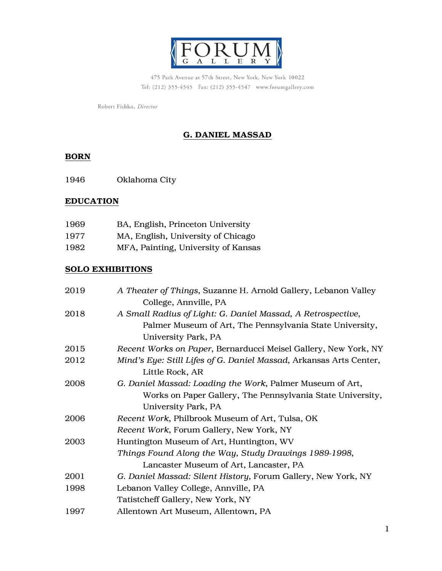

475 Park Avenue at 57th Street, New York, New York 10022 Tel: (212) 355-4545 Fax: (212) 355-4547 www.forumgallery.com

Robert Fishko, Director

# G. DANIEL MASSAD

### BORN

1946 Oklahoma City

## **EDUCATION**

| 1969 | BA, English, Princeton University   |
|------|-------------------------------------|
| 1977 | MA, English, University of Chicago  |
| 1982 | MFA, Painting, University of Kansas |

## SOLO EXHIBITIONS

| 2019 | A Theater of Things, Suzanne H. Arnold Gallery, Lebanon Valley     |
|------|--------------------------------------------------------------------|
|      | College, Annville, PA                                              |
| 2018 | A Small Radius of Light: G. Daniel Massad, A Retrospective,        |
|      | Palmer Museum of Art, The Pennsylvania State University,           |
|      | University Park, PA                                                |
| 2015 | Recent Works on Paper, Bernarducci Meisel Gallery, New York, NY    |
| 2012 | Mind's Eye: Still Lifes of G. Daniel Massad, Arkansas Arts Center, |
|      | Little Rock, AR                                                    |
| 2008 | G. Daniel Massad: Loading the Work, Palmer Museum of Art,          |
|      | Works on Paper Gallery, The Pennsylvania State University,         |
|      | University Park, PA                                                |
| 2006 | Recent Work, Philbrook Museum of Art, Tulsa, OK                    |
|      | Recent Work, Forum Gallery, New York, NY                           |
| 2003 | Huntington Museum of Art, Huntington, WV                           |
|      | Things Found Along the Way, Study Drawings 1989-1998,              |
|      | Lancaster Museum of Art, Lancaster, PA                             |
| 2001 | G. Daniel Massad: Silent History, Forum Gallery, New York, NY      |
| 1998 | Lebanon Valley College, Annville, PA                               |
|      | Tatistcheff Gallery, New York, NY                                  |
| 1997 | Allentown Art Museum, Allentown, PA                                |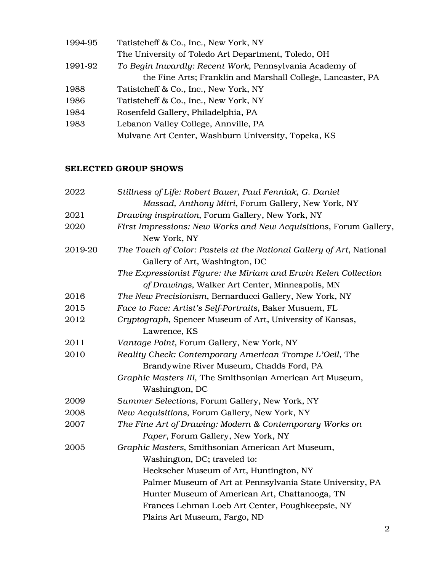| 1994-95 | Tatistcheff & Co., Inc., New York, NY                       |
|---------|-------------------------------------------------------------|
|         | The University of Toledo Art Department, Toledo, OH         |
| 1991-92 | To Begin Inwardly: Recent Work, Pennsylvania Academy of     |
|         | the Fine Arts; Franklin and Marshall College, Lancaster, PA |
| 1988    | Tatistcheff & Co., Inc., New York, NY                       |
| 1986    | Tatistcheff & Co., Inc., New York, NY                       |
| 1984    | Rosenfeld Gallery, Philadelphia, PA                         |
| 1983    | Lebanon Valley College, Annville, PA                        |
|         | Mulvane Art Center, Washburn University, Topeka, KS         |
|         |                                                             |

# SELECTED GROUP SHOWS

| 2022    | Stillness of Life: Robert Bauer, Paul Fenniak, G. Daniel                                               |
|---------|--------------------------------------------------------------------------------------------------------|
|         | Massad, Anthony Mitri, Forum Gallery, New York, NY                                                     |
| 2021    | Drawing inspiration, Forum Gallery, New York, NY                                                       |
| 2020    | First Impressions: New Works and New Acquisitions, Forum Gallery,<br>New York, NY                      |
| 2019-20 | The Touch of Color: Pastels at the National Gallery of Art, National<br>Gallery of Art, Washington, DC |
|         | The Expressionist Figure: the Miriam and Erwin Kelen Collection                                        |
|         | of Drawings, Walker Art Center, Minneapolis, MN                                                        |
| 2016    | The New Precisionism, Bernarducci Gallery, New York, NY                                                |
| 2015    | Face to Face: Artist's Self-Portraits, Baker Musuem, FL                                                |
| 2012    | Cryptograph, Spencer Museum of Art, University of Kansas,<br>Lawrence, KS                              |
| 2011    | Vantage Point, Forum Gallery, New York, NY                                                             |
| 2010    | Reality Check: Contemporary American Trompe L'Oeil, The                                                |
|         | Brandywine River Museum, Chadds Ford, PA                                                               |
|         | Graphic Masters III, The Smithsonian American Art Museum,                                              |
|         | Washington, DC                                                                                         |
| 2009    | Summer Selections, Forum Gallery, New York, NY                                                         |
| 2008    | New Acquisitions, Forum Gallery, New York, NY                                                          |
| 2007    | The Fine Art of Drawing: Modern & Contemporary Works on                                                |
|         | Paper, Forum Gallery, New York, NY                                                                     |
| 2005    | Graphic Masters, Smithsonian American Art Museum,                                                      |
|         | Washington, DC; traveled to:                                                                           |
|         | Heckscher Museum of Art, Huntington, NY                                                                |
|         | Palmer Museum of Art at Pennsylvania State University, PA                                              |
|         | Hunter Museum of American Art, Chattanooga, TN                                                         |
|         | Frances Lehman Loeb Art Center, Poughkeepsie, NY                                                       |
|         | Plains Art Museum, Fargo, ND                                                                           |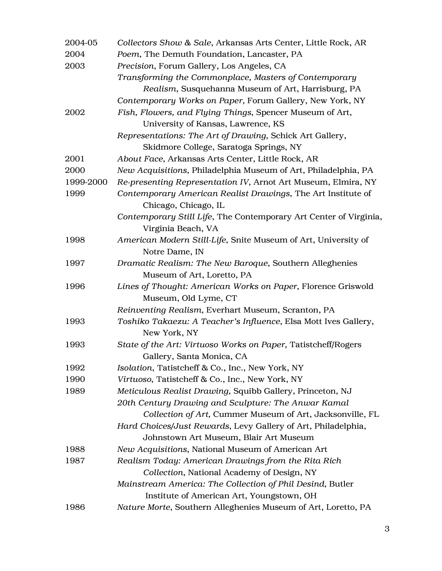| 2004-05   | Collectors Show & Sale, Arkansas Arts Center, Little Rock, AR                   |
|-----------|---------------------------------------------------------------------------------|
| 2004      | Poem, The Demuth Foundation, Lancaster, PA                                      |
| 2003      | Precision, Forum Gallery, Los Angeles, CA                                       |
|           | Transforming the Commonplace, Masters of Contemporary                           |
|           | Realism, Susquehanna Museum of Art, Harrisburg, PA                              |
|           | Contemporary Works on Paper, Forum Gallery, New York, NY                        |
| 2002      | Fish, Flowers, and Flying Things, Spencer Museum of Art,                        |
|           | University of Kansas, Lawrence, KS                                              |
|           | Representations: The Art of Drawing, Schick Art Gallery,                        |
|           | Skidmore College, Saratoga Springs, NY                                          |
| 2001      | About Face, Arkansas Arts Center, Little Rock, AR                               |
| 2000      | New Acquisitions, Philadelphia Museum of Art, Philadelphia, PA                  |
| 1999-2000 | Re-presenting Representation IV, Arnot Art Museum, Elmira, NY                   |
| 1999      | Contemporary American Realist Drawings, The Art Institute of                    |
|           | Chicago, Chicago, IL                                                            |
|           | Contemporary Still Life, The Contemporary Art Center of Virginia,               |
|           | Virginia Beach, VA                                                              |
| 1998      | American Modern Still-Life, Snite Museum of Art, University of                  |
|           | Notre Dame, IN                                                                  |
| 1997      | Dramatic Realism: The New Baroque, Southern Alleghenies                         |
|           | Museum of Art, Loretto, PA                                                      |
| 1996      | Lines of Thought: American Works on Paper, Florence Griswold                    |
|           | Museum, Old Lyme, CT                                                            |
|           | Reinventing Realism, Everhart Museum, Scranton, PA                              |
| 1993      | Toshiko Takaezu: A Teacher's Influence, Elsa Mott Ives Gallery,<br>New York, NY |
| 1993      | State of the Art: Virtuoso Works on Paper, Tatistcheff/Rogers                   |
|           | Gallery, Santa Monica, CA                                                       |
| 1992      | Isolation, Tatistcheff & Co., Inc., New York, NY                                |
| 1990      | Virtuoso, Tatistcheff & Co., Inc., New York, NY                                 |
| 1989      | Meticulous Realist Drawing, Squibb Gallery, Princeton, NJ                       |
|           | 20th Century Drawing and Sculpture: The Anwar Kamal                             |
|           | Collection of Art, Cummer Museum of Art, Jacksonville, FL                       |
|           | Hard Choices/Just Rewards, Levy Gallery of Art, Philadelphia,                   |
|           | Johnstown Art Museum, Blair Art Museum                                          |
| 1988      | New Acquisitions, National Museum of American Art                               |
| 1987      | Realism Today: American Drawings from the Rita Rich                             |
|           | Collection, National Academy of Design, NY                                      |
|           | Mainstream America: The Collection of Phil Desind, Butler                       |
|           | Institute of American Art, Youngstown, OH                                       |
| 1986      | Nature Morte, Southern Alleghenies Museum of Art, Loretto, PA                   |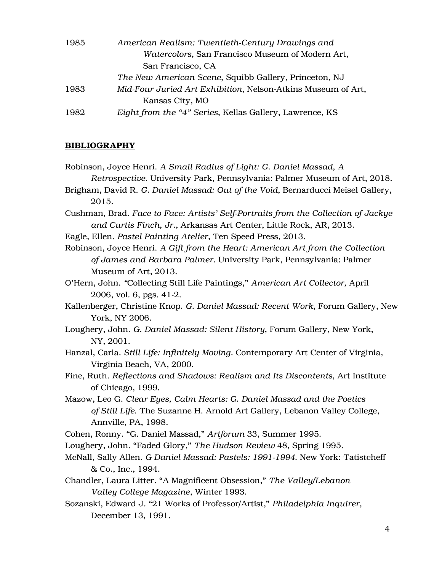| 1985 | American Realism: Twentieth-Century Drawings and             |
|------|--------------------------------------------------------------|
|      | Watercolors, San Francisco Museum of Modern Art,             |
|      | San Francisco, CA                                            |
|      | The New American Scene, Squibb Gallery, Princeton, NJ        |
| 1983 | Mid-Four Juried Art Exhibition, Nelson-Atkins Museum of Art, |
|      | Kansas City, MO                                              |
| 1982 | Eight from the "4" Series, Kellas Gallery, Lawrence, KS      |

## **BIBLIOGRAPHY**

| Robinson, Joyce Henri. A Small Radius of Light: G. Daniel Massad, A                |
|------------------------------------------------------------------------------------|
| Retrospective. University Park, Pennsylvania: Palmer Museum of Art, 2018.          |
| Brigham, David R. G. Daniel Massad: Out of the Void, Bernarducci Meisel Gallery,   |
| 2015.                                                                              |
| Cushman, Brad. Face to Face: Artists' Self-Portraits from the Collection of Jackye |
| and Curtis Finch, Jr., Arkansas Art Center, Little Rock, AR, 2013.                 |
| Eagle, Ellen. Pastel Painting Atelier, Ten Speed Press, 2013.                      |
| Robinson, Joyce Henri. A Gift from the Heart: American Art from the Collection     |
| of James and Barbara Palmer. University Park, Pennsylvania: Palmer                 |
| Museum of Art, 2013.                                                               |
| O'Hern, John. "Collecting Still Life Paintings," American Art Collector, April     |
| 2006, vol. 6, pgs. 41-2.                                                           |
| Kallenberger, Christine Knop. G. Daniel Massad: Recent Work, Forum Gallery, New    |
| York, NY 2006.                                                                     |
| Loughery, John. G. Daniel Massad: Silent History, Forum Gallery, New York,         |
| NY, 2001.                                                                          |
| Hanzal, Carla. Still Life: Infinitely Moving. Contemporary Art Center of Virginia, |
| Virginia Beach, VA, 2000.                                                          |
| Fine, Ruth. Reflections and Shadows: Realism and Its Discontents, Art Institute    |
| of Chicago, 1999.                                                                  |
| Mazow, Leo G. Clear Eyes, Calm Hearts: G. Daniel Massad and the Poetics            |
| of Still Life. The Suzanne H. Arnold Art Gallery, Lebanon Valley College,          |
| Annville, PA, 1998.                                                                |
| Cohen, Ronny. "G. Daniel Massad," Artforum 33, Summer 1995.                        |
| Loughery, John. "Faded Glory," The Hudson Review 48, Spring 1995.                  |
| McNall, Sally Allen. G Daniel Massad: Pastels: 1991-1994. New York: Tatistcheff    |
| & Co., Inc., 1994.                                                                 |
| Chandler, Laura Litter. "A Magnificent Obsession," The Valley/Lebanon              |
| Valley College Magazine, Winter 1993.                                              |
| Sozanski, Edward J. "21 Works of Professor/Artist," Philadelphia Inquirer,         |

December 13, 1991.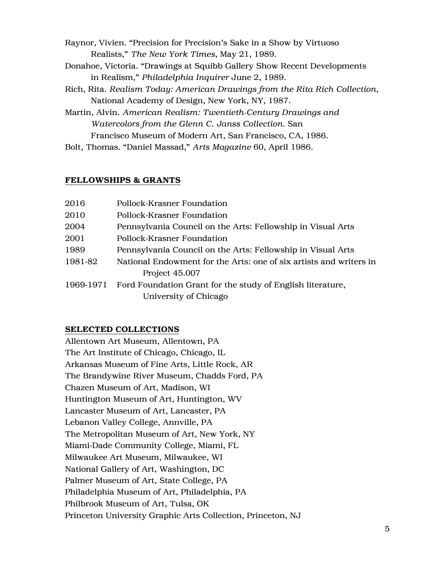Raynor, Vivien. "Precision for Precision's Sake in a Show by Virtuoso Realists," *The New York Times*, May 21, 1989.

- Donahoe, Victoria. "Drawings at Squibb Gallery Show Recent Developments in Realism," *Philadelphia Inquirer* June 2, 1989.
- Rich, Rita. *Realism Today: American Drawings from the Rita Rich Collection*, National Academy of Design, New York, NY, 1987.
- Martin, Alvin. *American Realism: Twentieth-Century Drawings and Watercolors from the Glenn C. Janss Collection.* San Francisco Museum of Modern Art, San Francisco, CA, 1986.
- Bolt, Thomas. "Daniel Massad," *Arts Magazine* 60, April 1986.

## FELLOWSHIPS & GRANTS

| 2016      | Pollock-Krasner Foundation                                         |
|-----------|--------------------------------------------------------------------|
| 2010      | Pollock-Krasner Foundation                                         |
| 2004      | Pennsylvania Council on the Arts: Fellowship in Visual Arts        |
| 2001      | Pollock-Krasner Foundation                                         |
| 1989      | Pennsylvania Council on the Arts: Fellowship in Visual Arts        |
| 1981-82   | National Endowment for the Arts: one of six artists and writers in |
|           | Project 45.007                                                     |
| 1969-1971 | Ford Foundation Grant for the study of English literature,         |
|           | University of Chicago                                              |

### SELECTED COLLECTIONS

Allentown Art Museum, Allentown, PA The Art Institute of Chicago, Chicago, IL Arkansas Museum of Fine Arts, Little Rock, AR The Brandywine River Museum, Chadds Ford, PA Chazen Museum of Art, Madison, WI Huntington Museum of Art, Huntington, WV Lancaster Museum of Art, Lancaster, PA Lebanon Valley College, Annville, PA The Metropolitan Museum of Art, New York, NY Miami-Dade Community College, Miami, FL Milwaukee Art Museum, Milwaukee, WI National Gallery of Art, Washington, DC Palmer Museum of Art, State College, PA Philadelphia Museum of Art, Philadelphia, PA Philbrook Museum of Art, Tulsa, OK Princeton University Graphic Arts Collection, Princeton, NJ